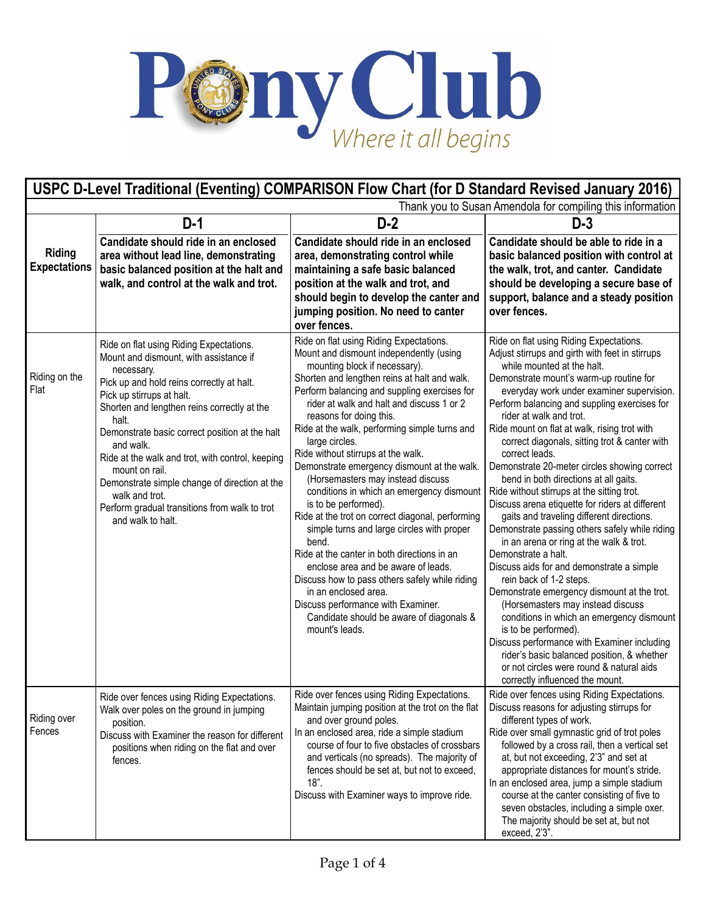

| USPC D-Level Traditional (Eventing) COMPARISON Flow Chart (for D Standard Revised January 2016) |                                                                                                                                                                                                                                                                                                                                                                                                                                                                                                                 |                                                                                                                                                                                                                                                                                                                                                                                                                                                                                                                                                                                                                                                                                                                                                                                                                                                                                                                                              |                                                                                                                                                                                                                                                                                                                                                                                                                                                                                                                                                                                                                                                                                                                                                                                                                                                                                                                                                                                                                                                                                                                                                                                        |  |  |
|-------------------------------------------------------------------------------------------------|-----------------------------------------------------------------------------------------------------------------------------------------------------------------------------------------------------------------------------------------------------------------------------------------------------------------------------------------------------------------------------------------------------------------------------------------------------------------------------------------------------------------|----------------------------------------------------------------------------------------------------------------------------------------------------------------------------------------------------------------------------------------------------------------------------------------------------------------------------------------------------------------------------------------------------------------------------------------------------------------------------------------------------------------------------------------------------------------------------------------------------------------------------------------------------------------------------------------------------------------------------------------------------------------------------------------------------------------------------------------------------------------------------------------------------------------------------------------------|----------------------------------------------------------------------------------------------------------------------------------------------------------------------------------------------------------------------------------------------------------------------------------------------------------------------------------------------------------------------------------------------------------------------------------------------------------------------------------------------------------------------------------------------------------------------------------------------------------------------------------------------------------------------------------------------------------------------------------------------------------------------------------------------------------------------------------------------------------------------------------------------------------------------------------------------------------------------------------------------------------------------------------------------------------------------------------------------------------------------------------------------------------------------------------------|--|--|
|                                                                                                 | Thank you to Susan Amendola for compiling this information                                                                                                                                                                                                                                                                                                                                                                                                                                                      |                                                                                                                                                                                                                                                                                                                                                                                                                                                                                                                                                                                                                                                                                                                                                                                                                                                                                                                                              |                                                                                                                                                                                                                                                                                                                                                                                                                                                                                                                                                                                                                                                                                                                                                                                                                                                                                                                                                                                                                                                                                                                                                                                        |  |  |
|                                                                                                 | $D-1$                                                                                                                                                                                                                                                                                                                                                                                                                                                                                                           | $D-2$                                                                                                                                                                                                                                                                                                                                                                                                                                                                                                                                                                                                                                                                                                                                                                                                                                                                                                                                        | $D-3$                                                                                                                                                                                                                                                                                                                                                                                                                                                                                                                                                                                                                                                                                                                                                                                                                                                                                                                                                                                                                                                                                                                                                                                  |  |  |
| Riding<br><b>Expectations</b>                                                                   | Candidate should ride in an enclosed<br>area without lead line, demonstrating<br>basic balanced position at the halt and<br>walk, and control at the walk and trot.                                                                                                                                                                                                                                                                                                                                             | Candidate should ride in an enclosed<br>area, demonstrating control while<br>maintaining a safe basic balanced<br>position at the walk and trot, and<br>should begin to develop the canter and<br>jumping position. No need to canter<br>over fences.                                                                                                                                                                                                                                                                                                                                                                                                                                                                                                                                                                                                                                                                                        | Candidate should be able to ride in a<br>basic balanced position with control at<br>the walk, trot, and canter. Candidate<br>should be developing a secure base of<br>support, balance and a steady position<br>over fences.                                                                                                                                                                                                                                                                                                                                                                                                                                                                                                                                                                                                                                                                                                                                                                                                                                                                                                                                                           |  |  |
| Riding on the<br>Flat                                                                           | Ride on flat using Riding Expectations.<br>Mount and dismount, with assistance if<br>necessary.<br>Pick up and hold reins correctly at halt.<br>Pick up stirrups at halt.<br>Shorten and lengthen reins correctly at the<br>halt.<br>Demonstrate basic correct position at the halt<br>and walk.<br>Ride at the walk and trot, with control, keeping<br>mount on rail.<br>Demonstrate simple change of direction at the<br>walk and trot.<br>Perform gradual transitions from walk to trot<br>and walk to halt. | Ride on flat using Riding Expectations.<br>Mount and dismount independently (using<br>mounting block if necessary).<br>Shorten and lengthen reins at halt and walk.<br>Perform balancing and suppling exercises for<br>rider at walk and halt and discuss 1 or 2<br>reasons for doing this.<br>Ride at the walk, performing simple turns and<br>large circles.<br>Ride without stirrups at the walk.<br>Demonstrate emergency dismount at the walk.<br>(Horsemasters may instead discuss<br>conditions in which an emergency dismount<br>is to be performed).<br>Ride at the trot on correct diagonal, performing<br>simple turns and large circles with proper<br>bend.<br>Ride at the canter in both directions in an<br>enclose area and be aware of leads.<br>Discuss how to pass others safely while riding<br>in an enclosed area.<br>Discuss performance with Examiner.<br>Candidate should be aware of diagonals &<br>mount's leads. | Ride on flat using Riding Expectations.<br>Adjust stirrups and girth with feet in stirrups<br>while mounted at the halt.<br>Demonstrate mount's warm-up routine for<br>everyday work under examiner supervision.<br>Perform balancing and suppling exercises for<br>rider at walk and trot.<br>Ride mount on flat at walk, rising trot with<br>correct diagonals, sitting trot & canter with<br>correct leads.<br>Demonstrate 20-meter circles showing correct<br>bend in both directions at all gaits.<br>Ride without stirrups at the sitting trot.<br>Discuss arena etiquette for riders at different<br>gaits and traveling different directions.<br>Demonstrate passing others safely while riding<br>in an arena or ring at the walk & trot.<br>Demonstrate a halt.<br>Discuss aids for and demonstrate a simple<br>rein back of 1-2 steps.<br>Demonstrate emergency dismount at the trot.<br>(Horsemasters may instead discuss<br>conditions in which an emergency dismount<br>is to be performed).<br>Discuss performance with Examiner including<br>rider's basic balanced position, & whether<br>or not circles were round & natural aids<br>correctly influenced the mount. |  |  |
| Riding over<br>Fences                                                                           | Ride over fences using Riding Expectations.<br>Walk over poles on the ground in jumping<br>position.<br>Discuss with Examiner the reason for different<br>positions when riding on the flat and over<br>fences.                                                                                                                                                                                                                                                                                                 | Ride over fences using Riding Expectations.<br>Maintain jumping position at the trot on the flat<br>and over ground poles.<br>In an enclosed area, ride a simple stadium<br>course of four to five obstacles of crossbars<br>and verticals (no spreads). The majority of<br>fences should be set at, but not to exceed,<br>$18"$ .<br>Discuss with Examiner ways to improve ride.                                                                                                                                                                                                                                                                                                                                                                                                                                                                                                                                                            | Ride over fences using Riding Expectations.<br>Discuss reasons for adjusting stirrups for<br>different types of work.<br>Ride over small gymnastic grid of trot poles<br>followed by a cross rail, then a vertical set<br>at, but not exceeding, 2'3" and set at<br>appropriate distances for mount's stride.<br>In an enclosed area, jump a simple stadium<br>course at the canter consisting of five to<br>seven obstacles, including a simple oxer.<br>The majority should be set at, but not<br>exceed, 2'3".                                                                                                                                                                                                                                                                                                                                                                                                                                                                                                                                                                                                                                                                      |  |  |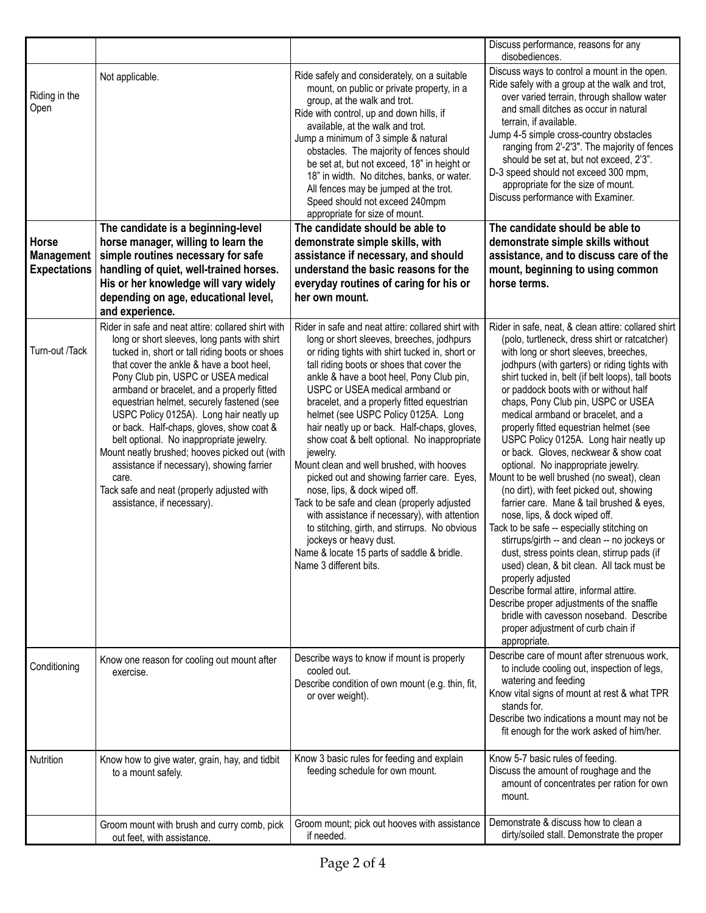|                                                   |                                                                                                                                                                                                                                                                                                                                                                                                                                                                                                                                                                                                                                                          |                                                                                                                                                                                                                                                                                                                                                                                                                                                                                                                                                                                                                                                                                                                                                                                                                                                               | Discuss performance, reasons for any<br>disobediences.                                                                                                                                                                                                                                                                                                                                                                                                                                                                                                                                                                                                                                                                                                                                                                                                                                                                                                                                                                                                                                                                          |
|---------------------------------------------------|----------------------------------------------------------------------------------------------------------------------------------------------------------------------------------------------------------------------------------------------------------------------------------------------------------------------------------------------------------------------------------------------------------------------------------------------------------------------------------------------------------------------------------------------------------------------------------------------------------------------------------------------------------|---------------------------------------------------------------------------------------------------------------------------------------------------------------------------------------------------------------------------------------------------------------------------------------------------------------------------------------------------------------------------------------------------------------------------------------------------------------------------------------------------------------------------------------------------------------------------------------------------------------------------------------------------------------------------------------------------------------------------------------------------------------------------------------------------------------------------------------------------------------|---------------------------------------------------------------------------------------------------------------------------------------------------------------------------------------------------------------------------------------------------------------------------------------------------------------------------------------------------------------------------------------------------------------------------------------------------------------------------------------------------------------------------------------------------------------------------------------------------------------------------------------------------------------------------------------------------------------------------------------------------------------------------------------------------------------------------------------------------------------------------------------------------------------------------------------------------------------------------------------------------------------------------------------------------------------------------------------------------------------------------------|
| Riding in the<br>Open                             | Not applicable.                                                                                                                                                                                                                                                                                                                                                                                                                                                                                                                                                                                                                                          | Ride safely and considerately, on a suitable<br>mount, on public or private property, in a<br>group, at the walk and trot.<br>Ride with control, up and down hills, if<br>available, at the walk and trot.<br>Jump a minimum of 3 simple & natural<br>obstacles. The majority of fences should<br>be set at, but not exceed, 18" in height or<br>18" in width. No ditches, banks, or water.<br>All fences may be jumped at the trot.<br>Speed should not exceed 240mpm<br>appropriate for size of mount.                                                                                                                                                                                                                                                                                                                                                      | Discuss ways to control a mount in the open.<br>Ride safely with a group at the walk and trot,<br>over varied terrain, through shallow water<br>and small ditches as occur in natural<br>terrain, if available.<br>Jump 4-5 simple cross-country obstacles<br>ranging from 2'-2'3". The majority of fences<br>should be set at, but not exceed, 2'3".<br>D-3 speed should not exceed 300 mpm,<br>appropriate for the size of mount.<br>Discuss performance with Examiner.                                                                                                                                                                                                                                                                                                                                                                                                                                                                                                                                                                                                                                                       |
| Horse<br><b>Management</b><br><b>Expectations</b> | The candidate is a beginning-level<br>horse manager, willing to learn the<br>simple routines necessary for safe<br>handling of quiet, well-trained horses.<br>His or her knowledge will vary widely<br>depending on age, educational level,<br>and experience.                                                                                                                                                                                                                                                                                                                                                                                           | The candidate should be able to<br>demonstrate simple skills, with<br>assistance if necessary, and should<br>understand the basic reasons for the<br>everyday routines of caring for his or<br>her own mount.                                                                                                                                                                                                                                                                                                                                                                                                                                                                                                                                                                                                                                                 | The candidate should be able to<br>demonstrate simple skills without<br>assistance, and to discuss care of the<br>mount, beginning to using common<br>horse terms.                                                                                                                                                                                                                                                                                                                                                                                                                                                                                                                                                                                                                                                                                                                                                                                                                                                                                                                                                              |
| Turn-out /Tack                                    | Rider in safe and neat attire: collared shirt with<br>long or short sleeves, long pants with shirt<br>tucked in, short or tall riding boots or shoes<br>that cover the ankle & have a boot heel,<br>Pony Club pin, USPC or USEA medical<br>armband or bracelet, and a properly fitted<br>equestrian helmet, securely fastened (see<br>USPC Policy 0125A). Long hair neatly up<br>or back. Half-chaps, gloves, show coat &<br>belt optional. No inappropriate jewelry.<br>Mount neatly brushed; hooves picked out (with<br>assistance if necessary), showing farrier<br>care.<br>Tack safe and neat (properly adjusted with<br>assistance, if necessary). | Rider in safe and neat attire: collared shirt with<br>long or short sleeves, breeches, jodhpurs<br>or riding tights with shirt tucked in, short or<br>tall riding boots or shoes that cover the<br>ankle & have a boot heel, Pony Club pin,<br>USPC or USEA medical armband or<br>bracelet, and a properly fitted equestrian<br>helmet (see USPC Policy 0125A. Long<br>hair neatly up or back. Half-chaps, gloves,<br>show coat & belt optional. No inappropriate<br>jewelry.<br>Mount clean and well brushed, with hooves<br>picked out and showing farrier care. Eyes,<br>nose, lips, & dock wiped off.<br>Tack to be safe and clean (properly adjusted<br>with assistance if necessary), with attention<br>to stitching, girth, and stirrups. No obvious<br>jockeys or heavy dust.<br>Name & locate 15 parts of saddle & bridle.<br>Name 3 different bits. | Rider in safe, neat, & clean attire: collared shirt<br>(polo, turtleneck, dress shirt or ratcatcher)<br>with long or short sleeves, breeches,<br>jodhpurs (with garters) or riding tights with<br>shirt tucked in, belt (if belt loops), tall boots<br>or paddock boots with or without half<br>chaps, Pony Club pin, USPC or USEA<br>medical armband or bracelet, and a<br>properly fitted equestrian helmet (see<br>USPC Policy 0125A. Long hair neatly up<br>or back. Gloves, neckwear & show coat<br>optional. No inappropriate jewelry.<br>Mount to be well brushed (no sweat), clean<br>(no dirt), with feet picked out, showing<br>farrier care. Mane & tail brushed & eyes,<br>nose, lips, & dock wiped off.<br>Tack to be safe -- especially stitching on<br>stirrups/girth -- and clean -- no jockeys or<br>dust, stress points clean, stirrup pads (if<br>used) clean, & bit clean. All tack must be<br>properly adjusted<br>Describe formal attire, informal attire.<br>Describe proper adjustments of the snaffle<br>bridle with cavesson noseband. Describe<br>proper adjustment of curb chain if<br>appropriate. |
| Conditioning                                      | Know one reason for cooling out mount after<br>exercise.                                                                                                                                                                                                                                                                                                                                                                                                                                                                                                                                                                                                 | Describe ways to know if mount is properly<br>cooled out.<br>Describe condition of own mount (e.g. thin, fit,<br>or over weight).                                                                                                                                                                                                                                                                                                                                                                                                                                                                                                                                                                                                                                                                                                                             | Describe care of mount after strenuous work,<br>to include cooling out, inspection of legs,<br>watering and feeding<br>Know vital signs of mount at rest & what TPR<br>stands for.<br>Describe two indications a mount may not be<br>fit enough for the work asked of him/her.                                                                                                                                                                                                                                                                                                                                                                                                                                                                                                                                                                                                                                                                                                                                                                                                                                                  |
| Nutrition                                         | Know how to give water, grain, hay, and tidbit<br>to a mount safely.                                                                                                                                                                                                                                                                                                                                                                                                                                                                                                                                                                                     | Know 3 basic rules for feeding and explain<br>feeding schedule for own mount.                                                                                                                                                                                                                                                                                                                                                                                                                                                                                                                                                                                                                                                                                                                                                                                 | Know 5-7 basic rules of feeding.<br>Discuss the amount of roughage and the<br>amount of concentrates per ration for own<br>mount.                                                                                                                                                                                                                                                                                                                                                                                                                                                                                                                                                                                                                                                                                                                                                                                                                                                                                                                                                                                               |
|                                                   | Groom mount with brush and curry comb, pick<br>out feet, with assistance.                                                                                                                                                                                                                                                                                                                                                                                                                                                                                                                                                                                | Groom mount; pick out hooves with assistance<br>if needed.                                                                                                                                                                                                                                                                                                                                                                                                                                                                                                                                                                                                                                                                                                                                                                                                    | Demonstrate & discuss how to clean a<br>dirty/soiled stall. Demonstrate the proper                                                                                                                                                                                                                                                                                                                                                                                                                                                                                                                                                                                                                                                                                                                                                                                                                                                                                                                                                                                                                                              |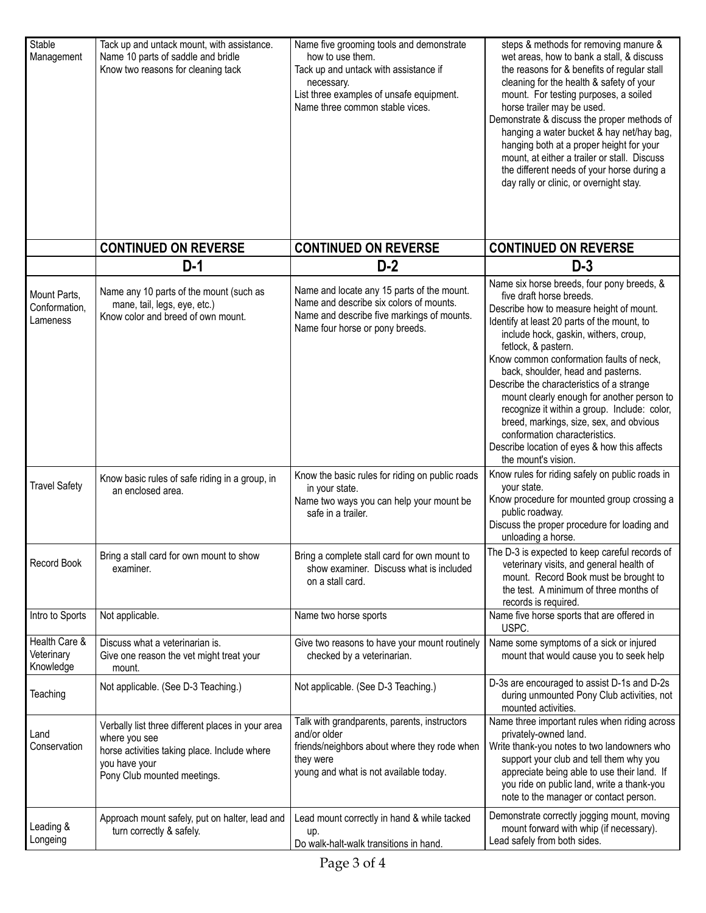| Stable<br>Management                      | Tack up and untack mount, with assistance.<br>Name 10 parts of saddle and bridle<br>Know two reasons for cleaning tack                                             | Name five grooming tools and demonstrate<br>how to use them.<br>Tack up and untack with assistance if<br>necessary.<br>List three examples of unsafe equipment.<br>Name three common stable vices. | steps & methods for removing manure &<br>wet areas, how to bank a stall, & discuss<br>the reasons for & benefits of regular stall<br>cleaning for the health & safety of your<br>mount. For testing purposes, a soiled<br>horse trailer may be used.<br>Demonstrate & discuss the proper methods of<br>hanging a water bucket & hay net/hay bag,<br>hanging both at a proper height for your<br>mount, at either a trailer or stall. Discuss<br>the different needs of your horse during a<br>day rally or clinic, or overnight stay.                                                                             |
|-------------------------------------------|--------------------------------------------------------------------------------------------------------------------------------------------------------------------|----------------------------------------------------------------------------------------------------------------------------------------------------------------------------------------------------|-------------------------------------------------------------------------------------------------------------------------------------------------------------------------------------------------------------------------------------------------------------------------------------------------------------------------------------------------------------------------------------------------------------------------------------------------------------------------------------------------------------------------------------------------------------------------------------------------------------------|
|                                           | <b>CONTINUED ON REVERSE</b>                                                                                                                                        | <b>CONTINUED ON REVERSE</b>                                                                                                                                                                        | <b>CONTINUED ON REVERSE</b>                                                                                                                                                                                                                                                                                                                                                                                                                                                                                                                                                                                       |
|                                           | $D-1$                                                                                                                                                              | $D-2$                                                                                                                                                                                              | $D-3$                                                                                                                                                                                                                                                                                                                                                                                                                                                                                                                                                                                                             |
| Mount Parts.<br>Conformation,<br>Lameness | Name any 10 parts of the mount (such as<br>mane, tail, legs, eye, etc.)<br>Know color and breed of own mount.                                                      | Name and locate any 15 parts of the mount.<br>Name and describe six colors of mounts.<br>Name and describe five markings of mounts.<br>Name four horse or pony breeds.                             | Name six horse breeds, four pony breeds, &<br>five draft horse breeds.<br>Describe how to measure height of mount.<br>Identify at least 20 parts of the mount, to<br>include hock, gaskin, withers, croup,<br>fetlock, & pastern.<br>Know common conformation faults of neck,<br>back, shoulder, head and pasterns.<br>Describe the characteristics of a strange<br>mount clearly enough for another person to<br>recognize it within a group. Include: color,<br>breed, markings, size, sex, and obvious<br>conformation characteristics.<br>Describe location of eyes & how this affects<br>the mount's vision. |
| <b>Travel Safety</b>                      | Know basic rules of safe riding in a group, in<br>an enclosed area.                                                                                                | Know the basic rules for riding on public roads<br>in your state.<br>Name two ways you can help your mount be<br>safe in a trailer.                                                                | Know rules for riding safely on public roads in<br>your state.<br>Know procedure for mounted group crossing a<br>public roadway.<br>Discuss the proper procedure for loading and<br>unloading a horse.                                                                                                                                                                                                                                                                                                                                                                                                            |
| Record Book                               | Bring a stall card for own mount to show<br>examiner.                                                                                                              | Bring a complete stall card for own mount to<br>show examiner. Discuss what is included<br>on a stall card.                                                                                        | The D-3 is expected to keep careful records of<br>veterinary visits, and general health of<br>mount. Record Book must be brought to<br>the test. A minimum of three months of<br>records is required.                                                                                                                                                                                                                                                                                                                                                                                                             |
| Intro to Sports                           | Not applicable.                                                                                                                                                    | Name two horse sports                                                                                                                                                                              | Name five horse sports that are offered in<br>USPC.                                                                                                                                                                                                                                                                                                                                                                                                                                                                                                                                                               |
| Health Care &<br>Veterinary<br>Knowledge  | Discuss what a veterinarian is.<br>Give one reason the vet might treat your<br>mount.                                                                              | Give two reasons to have your mount routinely<br>checked by a veterinarian.                                                                                                                        | Name some symptoms of a sick or injured<br>mount that would cause you to seek help                                                                                                                                                                                                                                                                                                                                                                                                                                                                                                                                |
| Teaching                                  | Not applicable. (See D-3 Teaching.)                                                                                                                                | Not applicable. (See D-3 Teaching.)                                                                                                                                                                | D-3s are encouraged to assist D-1s and D-2s<br>during unmounted Pony Club activities, not<br>mounted activities.                                                                                                                                                                                                                                                                                                                                                                                                                                                                                                  |
| Land<br>Conservation                      | Verbally list three different places in your area<br>where you see<br>horse activities taking place. Include where<br>you have your<br>Pony Club mounted meetings. | Talk with grandparents, parents, instructors<br>and/or older<br>friends/neighbors about where they rode when<br>they were<br>young and what is not available today.                                | Name three important rules when riding across<br>privately-owned land.<br>Write thank-you notes to two landowners who<br>support your club and tell them why you<br>appreciate being able to use their land. If<br>you ride on public land, write a thank-you<br>note to the manager or contact person.                                                                                                                                                                                                                                                                                                           |
| Leading &<br>Longeing                     | Approach mount safely, put on halter, lead and<br>turn correctly & safely.                                                                                         | Lead mount correctly in hand & while tacked<br>up.<br>Do walk-halt-walk transitions in hand.                                                                                                       | Demonstrate correctly jogging mount, moving<br>mount forward with whip (if necessary).<br>Lead safely from both sides.                                                                                                                                                                                                                                                                                                                                                                                                                                                                                            |